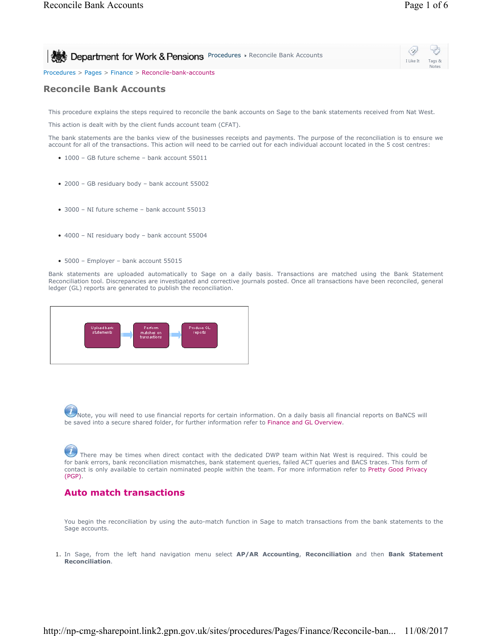**Procedures & Pensions Procedures & Reconcile Bank Accounts** 

Procedures > Pages > Finance > Reconcile-bank-accounts

#### **Reconcile Bank Accounts**

This procedure explains the steps required to reconcile the bank accounts on Sage to the bank statements received from Nat West.

This action is dealt with by the client funds account team (CFAT).

The bank statements are the banks view of the businesses receipts and payments. The purpose of the reconciliation is to ensure we account for all of the transactions. This action will need to be carried out for each individual account located in the 5 cost centres:

- 1000 GB future scheme bank account 55011
- 2000 GB residuary body bank account 55002
- 3000 NI future scheme bank account 55013
- 4000 NI residuary body bank account 55004
- 5000 Employer bank account 55015

Bank statements are uploaded automatically to Sage on a daily basis. Transactions are matched using the Bank Statement Reconciliation tool. Discrepancies are investigated and corrective journals posted. Once all transactions have been reconciled, general ledger (GL) reports are generated to publish the reconciliation.



Note, you will need to use financial reports for certain information. On a daily basis all financial reports on BaNCS will be saved into a secure shared folder, for further information refer to Finance and GL Overview.

There may be times when direct contact with the dedicated DWP team within Nat West is required. This could be for bank errors, bank reconciliation mismatches, bank statement queries, failed ACT queries and BACS traces. This form of contact is only available to certain nominated people within the team. For more information refer to Pretty Good Privacy (PGP).

#### **Auto match transactions**

You begin the reconciliation by using the auto-match function in Sage to match transactions from the bank statements to the Sage accounts.

In Sage, from the left hand navigation menu select **AP/AR Accounting**, **Reconciliation** and then **Bank Statement**  1. **Reconciliation**.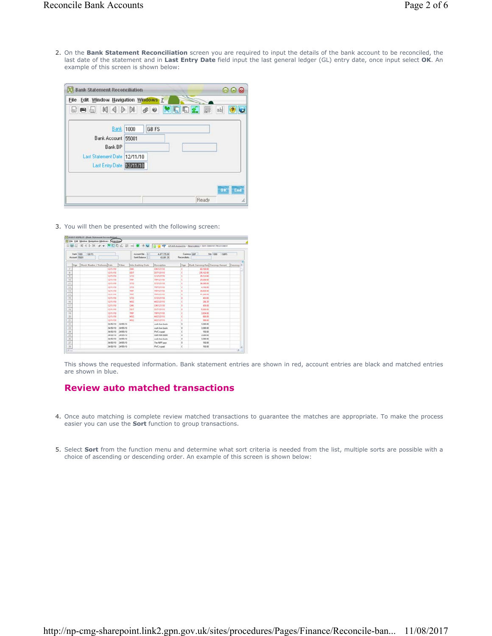2. On the Bank Statement Reconciliation screen you are required to input the details of the bank account to be reconciled, the last date of the statement and in **Last Entry Date** field input the last general ledger (GL) entry date, once input select **OK**. An example of this screen is shown below:

| 23 Bank Statement Reconciliation                                                                              |                       | $\bullet$ |
|---------------------------------------------------------------------------------------------------------------|-----------------------|-----------|
| File Edit Window Ilavigation Windows ?                                                                        |                       |           |
|                                                                                                               | SPSN4DN & O XEE & B O |           |
| <b>Bank</b> 1000<br>Bank Account 55001<br>Bank BP<br>Last Statement Date 12/11/10<br>Last Entry Date 12/11/10 | GB FS                 |           |
|                                                                                                               | Ready                 | OK End    |

3. You will then be presented with the following screen:

| Bark 1000<br>Account 150011 | 168F5                        | Account Ball, (D.)<br>Eark Extence [C] | 4.477.725.00<br>2010/01/25 | Currency (GBP<br>Ste 1000 GBFS<br>Fieconchate. |          |                                            |  |
|-----------------------------|------------------------------|----------------------------------------|----------------------------|------------------------------------------------|----------|--------------------------------------------|--|
| Sign:                       | Check Number / Referera Data | Value                                  | Inter-banking Code         | Dexcription                                    | Sign     | Bank Currency And Currency Amount Currency |  |
| $\mathbb{Z}$                | 12/11/10                     |                                        | Oil                        | O60321110                                      | c        | 40,500.00                                  |  |
| $\frac{1}{3}$               | 12/11/10                     |                                        | <b>DDT</b>                 | 001121110                                      | е        | 235,502.00                                 |  |
|                             | 12/11/10                     |                                        | <b>STO</b>                 | STORATOR                                       | с        | 西加田                                        |  |
| 70                          | 12/11/18                     |                                        | TRF                        | TRESZEINE                                      | ċ        | 25,000.00                                  |  |
| $\frac{1}{2}$               | 12/11/10                     |                                        | <b>STO</b>                 | <b>STOL2TING</b>                               | c        | 36,000.00                                  |  |
| $32\,$                      | 13/11/10                     |                                        | sto                        | 187121110                                      | c        | 4.100.00                                   |  |
| 13<br>-                     | tz/tt/td                     |                                        | titi                       | 186121110                                      | b        | 29.054.00                                  |  |
| 14<br>--                    | 13/11/10                     |                                        | the                        | 188121110                                      | n.       | 41,300.00                                  |  |
| 15                          | 12/11/18                     |                                        | sto                        | \$10121118                                     | D.       | 453.00                                     |  |
| T<br>--                     | <b>13/11/18</b>              |                                        | <b>MSC</b>                 | MECHATHE                                       | c        | 294.95                                     |  |
| 32<br>since                 | 12/11/10                     |                                        | Oil.                       | 04.121110                                      | b        | 426.007                                    |  |
| $\frac{1}{2}$               | 12/11/10                     |                                        | <b>CIDT</b>                | 001121110                                      | D        | 5,600.00                                   |  |
| 15                          | 12/11/10                     |                                        | thir                       | 180321110                                      | c        | 3,654.00                                   |  |
| ъ<br>--                     | 12/11/18                     |                                        | wic                        | <b>MIC121110</b>                               | ċ        | <b>GGK.00</b>                              |  |
| $\mathbb{Z}$                | 12/11/18                     |                                        | veic                       | MIC121110                                      | c        | 300L00                                     |  |
| 22                          | 24/05/10                     | 24/05/10                               |                            | cash hors boots                                | D        | 3,000.00                                   |  |
| -<br>25<br>∸                | 24/05/10                     | 24/05/10                               |                            | Each from boots                                | D.       | 3,000.00                                   |  |
| $\frac{1}{2}$               | 24/05/10                     | 24/05/10                               |                            | PwC is paid                                    | c        | 150.00                                     |  |
| z                           | 24/05/10                     | 24/05/10                               |                            | cash from boots                                | o.       | 3,000.00                                   |  |
| $\mathbb{R}$                | 24/05/10                     | 24/05/10                               |                            | cash how boots                                 | b.       | 3,000.00                                   |  |
| $\mathbb{Z}^p$              | 24/05/10                     | 24/05/10                               |                            | The NFIP part                                  | D        | 150.00                                     |  |
| $\frac{20}{\pi}$            |                              | 24/05/10 24/05/10                      |                            | PwC is paid                                    | <b>c</b> | 150.00                                     |  |

This shows the requested information. Bank statement entries are shown in red, account entries are black and matched entries are shown in blue.

## **Review auto matched transactions**

- 4. Once auto matching is complete review matched transactions to guarantee the matches are appropriate. To make the process easier you can use the **Sort** function to group transactions.
- 5. Select **Sort** from the function menu and determine what sort criteria is needed from the list, multiple sorts are possible with a choice of ascending or descending order. An example of this screen is shown below: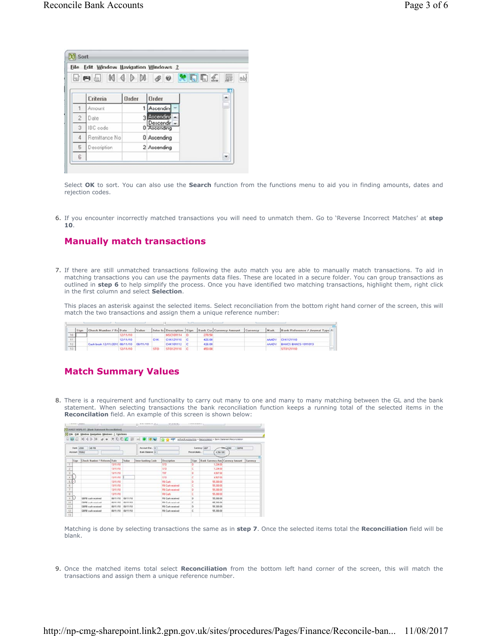|                | File Edit Window Navigation Windows ? |       |                            |                      |
|----------------|---------------------------------------|-------|----------------------------|----------------------|
|                |                                       |       |                            |                      |
|                | Criteria                              | Order | Order                      | $\ddot{\phantom{0}}$ |
|                | Amount                                |       | Ascendin                   |                      |
| $\overline{c}$ | Date                                  |       | Ascendind                  |                      |
| 3              | IBC code                              |       | Descendir -<br>0 Ascending |                      |
| $\sqrt{4}$     | Remittance No                         |       | 0 Ascending                |                      |
| 5              | Description                           |       | 2 Ascending                |                      |
| 6              |                                       |       |                            | ۳                    |

Select **OK** to sort. You can also use the **Search** function from the functions menu to aid you in finding amounts, dates and rejection codes.

If you encounter incorrectly matched transactions you will need to unmatch them. Go to 'Reverse Incorrect Matches' at **step** 6. **10**.

### **Manually match transactions**

7. If there are still unmatched transactions following the auto match you are able to manually match transactions. To aid in matching transactions you can use the payments data files. These are located in a secure folder. You can group transactions as outlined in **step 6** to help simplify the process. Once you have identified two matching transactions, highlight them, right click in the first column and select **Selection**.

This places an asterisk against the selected items. Select reconciliation from the bottom right hand corner of the screen, this will match the two transactions and assign them a unique reference number:

|     | Sign Check Number / Rr Date            |          | Value |                    | Inter-bi Description Sign Bank Cur Currency Amount Currency |  | Mark Bank Reference / Journal Type |
|-----|----------------------------------------|----------|-------|--------------------|-------------------------------------------------------------|--|------------------------------------|
|     |                                        | 12/11/10 |       | <b>MSC101114 D</b> | 220 SO                                                      |  |                                    |
|     |                                        | 12/11/10 |       | CHK121110 C        | 426.00                                                      |  | AAADY CHK121110                    |
| 12. | Cash book 12/11/2010 08/11/10 08/11/10 |          |       | CHK101112          | 426.00                                                      |  | AAADY BANCS BANCS-1011013          |
|     |                                        | 2/11/10  |       |                    | 453.00                                                      |  | 510121110                          |

## **Match Summary Values**

8. There is a requirement and functionality to carry out many to one and many to many matching between the GL and the bank statement. When selecting transactions the bank reconciliation function keeps a running total of the selected items in the **Reconcilation** field. An example of this screen is shown below:

| <b>C. BOUST WOPE OT - Blank Shannoot Reconciliation</b><br>D3 Ethe Edit Window Bavigation Windows 7 Functions<br>日图 司 村 4 P M g w 欠 D D 图 画 画 M @ W kg G g 中 aftaSaccountra · Beconcilence > Berk Stewares Reconcilence |                                |              |          |                                  |                         |                |                                                     |  |  |
|-------------------------------------------------------------------------------------------------------------------------------------------------------------------------------------------------------------------------|--------------------------------|--------------|----------|----------------------------------|-------------------------|----------------|-----------------------------------------------------|--|--|
| Bank. 2000<br>Account 55002                                                                                                                                                                                             | GB RB                          |              |          | Account Bal. D<br>Bank Balance D |                         | Reconciliatio. | GBRB<br>Currency GBP<br>$5002 - 60$<br>4.56700      |  |  |
| <b>Sign</b>                                                                                                                                                                                                             | [Check Number / Referenc] Date |              | Value    | <b>Inter-banking Code</b>        | <b>Description</b>      | Sign           | <b>Bank Currency Ame Currency Amount   Currency</b> |  |  |
| œ                                                                                                                                                                                                                       |                                | 13/11/10     |          |                                  | <b>STO</b>              | D.             | 1,234.00                                            |  |  |
| 12<br>--                                                                                                                                                                                                                |                                | <b>UNITE</b> |          |                                  | \$10                    | c              | 1,234.00                                            |  |  |
| $\overline{a}$                                                                                                                                                                                                          |                                | 13/11/10     |          |                                  | 196                     | D.             | 4,567.00                                            |  |  |
|                                                                                                                                                                                                                         |                                | DAVINET      |          |                                  | \$10                    | ć              | 4,567.00                                            |  |  |
| 5                                                                                                                                                                                                                       |                                | 13/11/10     |          |                                  | <b>RB Cash</b>          | b              | 55,300.00                                           |  |  |
|                                                                                                                                                                                                                         |                                | 13/11/10     |          |                                  | <b>RB Cash received</b> | c              | 55,300.00                                           |  |  |
| $\cdot$<br>$\sim$                                                                                                                                                                                                       |                                | 13/11/10     |          |                                  | <b>RB Cash received</b> | b              | 55,300,007                                          |  |  |
| ×                                                                                                                                                                                                                       |                                | 13/11/10     |          |                                  | <b>RB Cash</b>          | c              | 00.00 00                                            |  |  |
| $\frac{1}{2}$                                                                                                                                                                                                           | GBRB cash received             | 08/11/10     | 08/11/10 |                                  | <b>RB Cash received</b> | b              | 55,300.00                                           |  |  |
| 10                                                                                                                                                                                                                      | GRRR cash received             | 09/11/10     | 08/11/10 |                                  | <b>RB Cash seconds</b>  | c              | 55,300.00                                           |  |  |
| $\overline{\mathbf{u}}$                                                                                                                                                                                                 | GBRB cash received             | 08/11/10     | 06/11/10 |                                  | <b>RB Cash received</b> | D.             | 55,300.00                                           |  |  |
| T2                                                                                                                                                                                                                      | GRFR cash received             | 08/11/10     | 08/11/10 |                                  | FB Cash received        | c              | 55,300.00                                           |  |  |

a pro

Matching is done by selecting transactions the same as in **step 7**. Once the selected items total the **Reconciliation** field will be blank.

9. Once the matched items total select Reconciliation from the bottom left hand corner of the screen, this will match the transactions and assign them a unique reference number.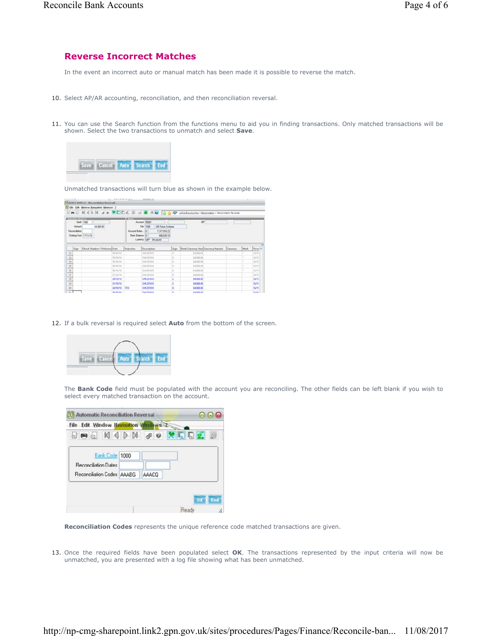#### **Reverse Incorrect Matches**

In the event an incorrect auto or manual match has been made it is possible to reverse the match.

- 10. Select AP/AR accounting, reconciliation, and then reconciliation reversal.
- 11. You can use the Search function from the functions menu to aid you in finding transactions. Only matched transactions will be shown. Select the two transactions to unmatch and select **Save**.



Unmatched transactions will turn blue as shown in the example below.

|                                   | <b>Selection O'Rena </b> |                               |              | <b>ACTOR</b>           |                                               |      |                                              |     |             |                   |
|-----------------------------------|--------------------------|-------------------------------|--------------|------------------------|-----------------------------------------------|------|----------------------------------------------|-----|-------------|-------------------|
|                                   | <b>Amount</b>            | Bank 1000<br><b>64,000.00</b> |              |                        | Account 55001<br>Sim 1000<br>GB Future Scheme |      | <b>BP</b>                                    | - 7 |             |                   |
|                                   | Reconciliation           |                               |              | Account Balan. D       | 7,377,810.22                                  |      |                                              |     |             |                   |
|                                   |                          | Starting From 17/11/10        |              | <b>Bark Balance DI</b> | 688,638.18                                    |      |                                              |     |             |                   |
|                                   |                          |                               |              |                        | Currency (GBP Bx pound                        |      |                                              |     |             |                   |
|                                   | <b>Sign</b>              | Check Number / Referent Date  |              | Hojectium              | Description                                   | Sagn | Bank Currency And Currency Amount   Currency |     | <b>Hark</b> | Reve <sup>*</sup> |
| $12\,$<br>--                      |                          |                               | 25/10/10     |                        | 04/251010                                     | o    | 64,000.00                                    |     |             | 16/11             |
| $-33$                             |                          |                               | 25/18/18     |                        | 04/251013                                     | b.   | 64,000.00                                    |     |             | 16/11             |
| 34<br>--                          |                          |                               | 25/10/10     |                        | D-8.251010                                    | b.   | 5.4,000.00                                   |     |             | 16711             |
| $\mathcal{L}_{\mathcal{B}}$<br>-- |                          |                               | 25/10/10     |                        | O4031010                                      | D    | 64,000.00                                    |     |             | 16/11             |
| $\overline{\mathbf{x}}$           |                          |                               | 25/10/10     |                        | CHK251010                                     | b.   | 64,000.00                                    |     |             | 36/11             |
| $-27$                             |                          |                               | 27/10/10     |                        | O/E251010                                     | b.   | E4.000.00                                    |     |             | 16/11             |
| -                                 |                          |                               | 24/10/10     |                        | <b>CHR251019</b>                              |      | 64,000.00                                    |     |             | 16/11             |
| $\frac{38}{38}$                   |                          |                               | 35/50/10     |                        | CHC251010                                     |      | E4 000.00                                    |     |             | 16/11             |
| mini<br>40                        |                          |                               | 24/10/10 510 |                        | 04/251010                                     | b    | 64,000.00                                    |     |             | 16/11             |
| in and                            |                          |                               | 36,55,500    |                        | CAPTIONS                                      | 'n   | ca non on                                    |     |             | 16/11             |

12. If a bulk reversal is required select **Auto** from the bottom of the screen.



The **Bank Code** field must be populated with the account you are reconciling. The other fields can be left blank if you wish to select every matched transaction on the account.

| File Edit Window Havigation Windows 2 |       |           |
|---------------------------------------|-------|-----------|
| RAR ADM & O X R R E                   |       |           |
| Bank Code 1000                        |       |           |
| <b>Reconciliation Dates</b>           |       |           |
| Reconciliation Codes AAABG            | AAACO |           |
|                                       |       |           |
|                                       |       | End<br>OK |

**Reconciliation Codes** represents the unique reference code matched transactions are given.

13. Once the required fields have been populated select OK. The transactions represented by the input criteria will now be unmatched, you are presented with a log file showing what has been unmatched.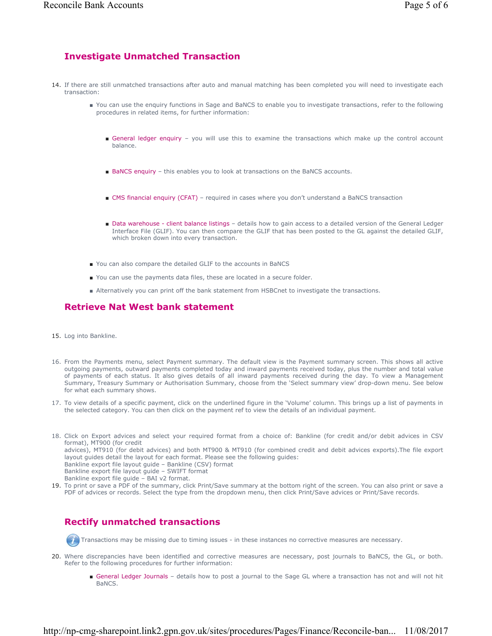## **Investigate Unmatched Transaction**

- 14. If there are still unmatched transactions after auto and manual matching has been completed you will need to investigate each transaction:
	- You can use the enquiry functions in Sage and BaNCS to enable you to investigate transactions, refer to the following procedures in related items, for further information:
		- General ledger enquiry you will use this to examine the transactions which make up the control account balance.
		- BaNCS enquiry this enables you to look at transactions on the BaNCS accounts.
		- CMS financial enquiry (CFAT) required in cases where you don't understand a BaNCS transaction
		- Data warehouse client balance listings details how to gain access to a detailed version of the General Ledger Interface File (GLIF). You can then compare the GLIF that has been posted to the GL against the detailed GLIF, which broken down into every transaction.
	- You can also compare the detailed GLIF to the accounts in BaNCS
	- You can use the payments data files, these are located in a secure folder.
	- Alternatively you can print off the bank statement from HSBCnet to investigate the transactions.

# **Retrieve Nat West bank statement**

- 15. Log into Bankline.
- 16. From the Payments menu, select Payment summary. The default view is the Payment summary screen. This shows all active outgoing payments, outward payments completed today and inward payments received today, plus the number and total value of payments of each status. It also gives details of all inward payments received during the day. To view a Management Summary, Treasury Summary or Authorisation Summary, choose from the 'Select summary view' drop-down menu. See below for what each summary shows.
- 17. To view details of a specific payment, click on the underlined figure in the 'Volume' column. This brings up a list of payments in the selected category. You can then click on the payment ref to view the details of an individual payment.
- 18. Click on Export advices and select your required format from a choice of: Bankline (for credit and/or debit advices in CSV format), MT900 (for credit advices), MT910 (for debit advices) and both MT900 & MT910 (for combined credit and debit advices exports).The file export layout guides detail the layout for each format. Please see the following guides: Bankline export file layout guide – Bankline (CSV) format Bankline export file layout guide – SWIFT format Bankline export file guide – BAI v2 format.
- 19. To print or save a PDF of the summary, click Print/Save summary at the bottom right of the screen. You can also print or save a PDF of advices or records. Select the type from the dropdown menu, then click Print/Save advices or Print/Save records.

# **Rectify unmatched transactions**

Transactions may be missing due to timing issues - in these instances no corrective measures are necessary.

- Where discrepancies have been identified and corrective measures are necessary, post journals to BaNCS, the GL, or both. 20. Refer to the following procedures for further information:
	- General Ledger Journals details how to post a journal to the Sage GL where a transaction has not and will not hit BaNCS.